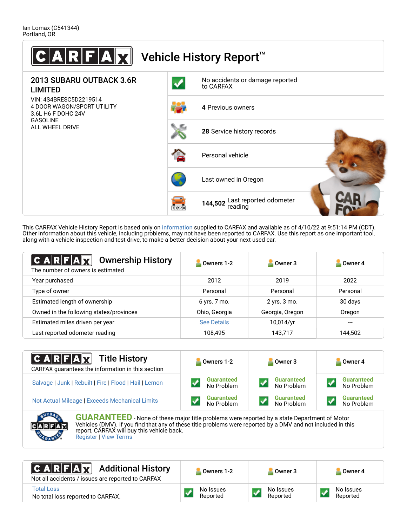

This CARFAX Vehicle History Report is based only on [information](http://www.carfax.com/company/vhr-data-sources) supplied to CARFAX and available as of 4/10/22 at 9:51:14 PM (CDT). Other information about this vehicle, including problems, may not have been reported to CARFAX. Use this report as one important tool, along with a vehicle inspection and test drive, to make a better decision about your next used car.

| A R F A H<br><b>Ownership History</b><br>The number of owners is estimated | Owners 1-2         | Owner 3         | Owner 4  |
|----------------------------------------------------------------------------|--------------------|-----------------|----------|
| Year purchased                                                             | 2012               | 2019            | 2022     |
| Type of owner                                                              | Personal           | Personal        | Personal |
| Estimated length of ownership                                              | $6$ yrs. $7$ mo.   | 2 yrs. 3 mo.    | 30 days  |
| Owned in the following states/provinces                                    | Ohio, Georgia      | Georgia, Oregon | Oregon   |
| Estimated miles driven per year                                            | <b>See Details</b> | 10,014/yr       | $---$    |
| Last reported odometer reading                                             | 108,495            | 143,717         | 144,502  |

| <b>CARFAX</b> Title History<br>CARFAX guarantees the information in this section | Owners 1-2        | Owner 3           | Owner 4           |
|----------------------------------------------------------------------------------|-------------------|-------------------|-------------------|
| Salvage   Junk   Rebuilt   Fire   Flood   Hail   Lemon                           | <b>Guaranteed</b> | <b>Guaranteed</b> | <b>Guaranteed</b> |
|                                                                                  | No Problem        | No Problem        | No Problem        |
| Not Actual Mileage   Exceeds Mechanical Limits                                   | <b>Guaranteed</b> | <b>Guaranteed</b> | <b>Guaranteed</b> |
|                                                                                  | No Problem        | No Problem        | No Problem        |



**GUARANTEED** - None of these major title problems were reported by a state Department of Motor Vehicles (DMV). If you find that any of these title problems were reported by a DMV and not included in this report, CARFAX will buy this vehicle back. [Register](https://www.carfax.com/Service/bbg) | [View Terms](https://www.carfax.com/company/carfax-buyback-guarantee-terms-and-conditions)

#### Additional History  $C|A|R|F|A|\chi$

Not all accidents / issues are reported to CARFAX

[Total Loss](https://www.carfaxbig.com/report/defTotalLoss)

No total loss reported to CARFAX.

No Issues ✓ Reported

No Issues Reported

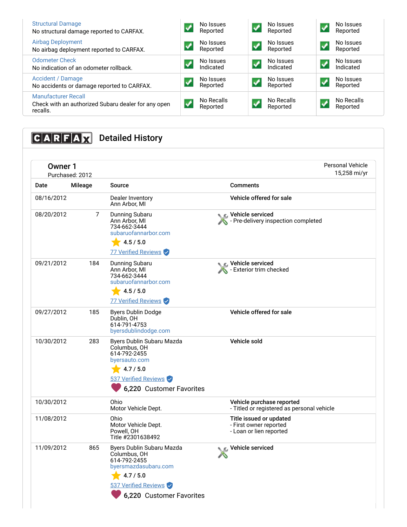| <b>Structural Damage</b><br>No structural damage reported to CARFAX.                          | No Issues<br>Reported  |                  | No Issues<br>Reported  |                            | No Issues<br>Reported  |
|-----------------------------------------------------------------------------------------------|------------------------|------------------|------------------------|----------------------------|------------------------|
| <b>Airbag Deployment</b><br>No airbag deployment reported to CARFAX.                          | No Issues<br>Reported  | $\boldsymbol{J}$ | No Issues<br>Reported  | $\boldsymbol{\mathcal{N}}$ | No Issues<br>Reported  |
| <b>Odometer Check</b><br>No indication of an odometer rollback.                               | No Issues<br>Indicated |                  | No Issues<br>Indicated | $\blacktriangledown$       | No Issues<br>Indicated |
| <b>Accident / Damage</b><br>No accidents or damage reported to CARFAX.                        | No Issues<br>Reported  |                  | No Issues<br>Reported  |                            | No Issues<br>Reported  |
| <b>Manufacturer Recall</b><br>Check with an authorized Subaru dealer for any open<br>recalls. | No Recalls<br>Reported |                  | No Recalls<br>Reported |                            | No Recalls<br>Reported |

# **CARFAX** Detailed History

| <b>Owner 1</b> | Purchased: 2012 |                                                                                                                                                    | <b>Personal Vehicle</b><br>15,258 mi/yr                                      |
|----------------|-----------------|----------------------------------------------------------------------------------------------------------------------------------------------------|------------------------------------------------------------------------------|
| Date           | Mileage         | Source                                                                                                                                             | <b>Comments</b>                                                              |
| 08/16/2012     |                 | Dealer Inventory<br>Ann Arbor, MI                                                                                                                  | Vehicle offered for sale                                                     |
| 08/20/2012     | 7               | Dunning Subaru<br>Ann Arbor, MI<br>734-662-3444<br>subaruofannarbor.com<br>4.5 / 5.0<br>77 Verified Reviews                                        | C Vehicle serviced<br>- Pre-delivery inspection completed                    |
| 09/21/2012     | 184             | Dunning Subaru<br>Ann Arbor, MI<br>734-662-3444<br>subaruofannarbor.com<br>4.5/5.0<br>77 Verified Reviews                                          | Vehicle serviced<br>- Exterior trim checked                                  |
| 09/27/2012     | 185             | <b>Byers Dublin Dodge</b><br>Dublin, OH<br>614-791-4753<br>byersdublindodge.com                                                                    | Vehicle offered for sale                                                     |
| 10/30/2012     | 283             | Byers Dublin Subaru Mazda<br>Columbus, OH<br>614-792-2455<br>byersauto.com<br>4.7 / 5.0<br>537 Verified Reviews<br>6,220 Customer Favorites        | Vehicle sold                                                                 |
| 10/30/2012     |                 | Ohio<br>Motor Vehicle Dept.                                                                                                                        | Vehicle purchase reported<br>- Titled or registered as personal vehicle      |
| 11/08/2012     |                 | Ohio<br>Motor Vehicle Dept.<br>Powell, OH<br>Title #2301638492                                                                                     | Title issued or updated<br>- First owner reported<br>- Loan or lien reported |
| 11/09/2012     | 865             | Byers Dublin Subaru Mazda<br>Columbus, OH<br>614-792-2455<br>byersmazdasubaru.com<br>4.7 / 5.0<br>537 Verified Reviews<br>6,220 Customer Favorites | Vehicle serviced                                                             |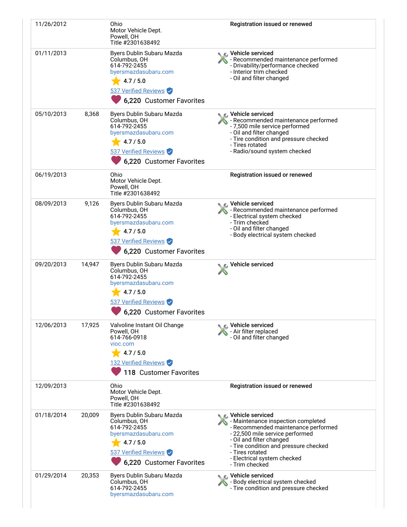| 11/26/2012 |        | Ohio<br>Motor Vehicle Dept.<br>Powell, OH<br>Title #2301638492                                                                                     | Registration issued or renewed                                                                                                                                                                                                                                                |
|------------|--------|----------------------------------------------------------------------------------------------------------------------------------------------------|-------------------------------------------------------------------------------------------------------------------------------------------------------------------------------------------------------------------------------------------------------------------------------|
| 01/11/2013 |        | Byers Dublin Subaru Mazda<br>Columbus, OH<br>614-792-2455<br>byersmazdasubaru.com<br>4.7 / 5.0<br>537 Verified Reviews<br>6,220 Customer Favorites | ◯ Vehicle serviced<br>- Recommended maintenance performed<br>- Drivability/performance checked<br>- Interior trim checked<br>- Oil and filter changed                                                                                                                         |
| 05/10/2013 | 8,368  | Byers Dublin Subaru Mazda<br>Columbus, OH<br>614-792-2455<br>byersmazdasubaru.com<br>4.7 / 5.0<br>537 Verified Reviews<br>6,220 Customer Favorites | <b>C</b> Vehicle serviced<br>- Recommended maintenance performed<br>- 7,500 mile service performed<br>- Oil and filter changed<br>- Tire condition and pressure checked<br>- Tires rotated<br>- Radio/sound system checked                                                    |
| 06/19/2013 |        | Ohio<br>Motor Vehicle Dept.<br>Powell, OH<br>Title #2301638492                                                                                     | Registration issued or renewed                                                                                                                                                                                                                                                |
| 08/09/2013 | 9,126  | Byers Dublin Subaru Mazda<br>Columbus, OH<br>614-792-2455<br>byersmazdasubaru.com<br>4.7 / 5.0<br>537 Verified Reviews<br>6,220 Customer Favorites | ्ट Vehicle serviced<br>- Recommended maintenance performed<br>- Electrical system checked<br>- Trim checked<br>- Oil and filter changed<br>- Body electrical system checked                                                                                                   |
| 09/20/2013 | 14,947 | Byers Dublin Subaru Mazda<br>Columbus, OH<br>614-792-2455<br>byersmazdasubaru.com<br>4.7 / 5.0<br>537 Verified Reviews<br>6,220 Customer Favorites | Vehicle serviced                                                                                                                                                                                                                                                              |
| 12/06/2013 | 17,925 | Valvoline Instant Oil Change<br>Powell, OH<br>614-766-0918<br>vioc.com<br>4.7/5.0<br>132 Verified Reviews<br>118 Customer Favorites                | <b>€</b> Vehicle serviced<br>- Air filter replaced<br>- Oil and filter changed                                                                                                                                                                                                |
| 12/09/2013 |        | Ohio<br>Motor Vehicle Dept.<br>Powell, OH<br>Title #2301638492                                                                                     | Registration issued or renewed                                                                                                                                                                                                                                                |
| 01/18/2014 | 20,009 | Byers Dublin Subaru Mazda<br>Columbus, OH<br>614-792-2455<br>byersmazdasubaru.com<br>4.7 / 5.0<br>537 Verified Reviews<br>6,220 Customer Favorites | ⊾r⊾ Vehicle serviced<br>- Maintenance inspection completed<br>- Recommended maintenance performed<br>- 22,500 mile service performed<br>- Oil and filter changed<br>- Tire condition and pressure checked<br>- Tires rotated<br>- Electrical system checked<br>- Trim checked |
| 01/29/2014 | 20,353 | Byers Dublin Subaru Mazda<br>Columbus, OH<br>614-792-2455<br>byersmazdasubaru.com                                                                  | ● C Vehicle serviced<br>- Body electrical system checked<br>- Tire condition and pressure checked                                                                                                                                                                             |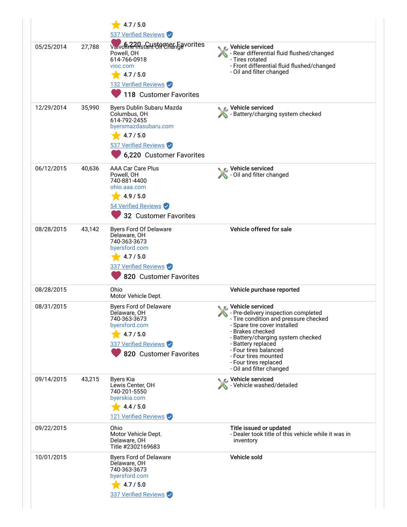|            |        | 4.7 / 5.0<br>537 Verified Reviews                                                                                                                  |                                                                                                                                                                                                                                                                                                                         |
|------------|--------|----------------------------------------------------------------------------------------------------------------------------------------------------|-------------------------------------------------------------------------------------------------------------------------------------------------------------------------------------------------------------------------------------------------------------------------------------------------------------------------|
| 05/25/2014 | 27,788 | Varvon R2APstaHStPTCREngevorites<br>Powell, OH<br>614-766-0918<br>vioc.com<br>4.7 / 5.0<br>132 Verified Reviews<br>118 Customer Favorites          | C Vehicle serviced<br>- Rear differential fluid flushed/changed<br>- Tires rotated<br>- Front differential fluid flushed/changed<br>- Oil and filter changed                                                                                                                                                            |
| 12/29/2014 | 35,990 | Byers Dublin Subaru Mazda<br>Columbus, OH<br>614-792-2455<br>byersmazdasubaru.com<br>4.7 / 5.0<br>537 Verified Reviews<br>6,220 Customer Favorites | C Vehicle serviced<br>- Battery/charging system checked                                                                                                                                                                                                                                                                 |
| 06/12/2015 | 40,636 | AAA Car Care Plus<br>Powell, OH<br>740-881-4400<br>ohio.aaa.com<br>4.9 / 5.0<br>54 Verified Reviews<br>32 Customer Favorites                       | Vehicle serviced<br>Oil and filter changed                                                                                                                                                                                                                                                                              |
| 08/28/2015 | 43,142 | Byers Ford Of Delaware<br>Delaware, OH<br>740-363-3673<br>byersford.com<br>4.7 / 5.0<br>337 Verified Reviews<br>820 Customer Favorites             | Vehicle offered for sale                                                                                                                                                                                                                                                                                                |
| 08/28/2015 |        | Ohio<br>Motor Vehicle Dept.                                                                                                                        | Vehicle purchase reported                                                                                                                                                                                                                                                                                               |
| 08/31/2015 |        | <b>Byers Ford of Delaware</b><br>Delaware, OH<br>740-363-3673<br>byersford.com<br>4.7 / 5.0<br>337 Verified Reviews<br>820 Customer Favorites      | C Vehicle serviced<br>- Pre-delivery inspection completed<br>- Tire condition and pressure checked<br>- Spare tire cover installed<br>- Brakes checked<br>- Battery/charging system checked<br>- Battery replaced<br>- Four tires balanced<br>- Four tires mounted<br>- Four tires replaced<br>- Oil and filter changed |
| 09/14/2015 | 43,215 | Byers Kia<br>Lewis Center, OH<br>740-201-5550<br>byerskia.com<br>4.4 / 5.0<br>121 Verified Reviews                                                 | Vehicle serviced<br>Vehicle washed/detailed                                                                                                                                                                                                                                                                             |
| 09/22/2015 |        | Ohio<br>Motor Vehicle Dept.<br>Delaware, OH<br>Title #2302169683                                                                                   | Title issued or updated<br>- Dealer took title of this vehicle while it was in<br>inventory                                                                                                                                                                                                                             |
| 10/01/2015 |        | <b>Byers Ford of Delaware</b><br>Delaware, OH<br>740-363-3673<br>byersford.com<br>4.7 / 5.0<br>337 Verified Reviews                                | Vehicle sold                                                                                                                                                                                                                                                                                                            |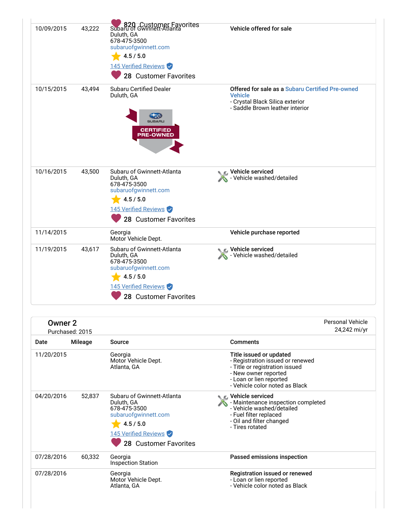| 10/09/2015 | 43,222 | 820 Customer Favorites<br>Duluth, GA<br>678-475-3500<br>subaruofgwinnett.com<br>4.5 / 5.0<br>145 Verified Reviews<br>28 Customer Favorites     | Vehicle offered for sale                                                                                                                 |
|------------|--------|------------------------------------------------------------------------------------------------------------------------------------------------|------------------------------------------------------------------------------------------------------------------------------------------|
| 10/15/2015 | 43,494 | <b>Subaru Certified Dealer</b><br>Duluth, GA<br><b>SUBARL</b><br><b>CERTIFIED</b><br><b>PRE-OWNED</b>                                          | Offered for sale as a Subaru Certified Pre-owned<br><b>Vehicle</b><br>- Crystal Black Silica exterior<br>- Saddle Brown leather interior |
| 10/16/2015 | 43,500 | Subaru of Gwinnett-Atlanta<br>Duluth, GA<br>678-475-3500<br>subaruofgwinnett.com<br>4.5 / 5.0<br>145 Verified Reviews<br>28 Customer Favorites | Vehicle serviced<br>- Vehicle washed/detailed                                                                                            |
| 11/14/2015 |        | Georgia<br>Motor Vehicle Dept.                                                                                                                 | Vehicle purchase reported                                                                                                                |
| 11/19/2015 | 43,617 | Subaru of Gwinnett-Atlanta<br>Duluth, GA<br>678-475-3500<br>subaruofgwinnett.com<br>4.5 / 5.0<br>145 Verified Reviews<br>28 Customer Favorites | Vehicle serviced<br>- Vehicle washed/detailed                                                                                            |

| Owner <sub>2</sub> | Purchased: 2015 |                                                                                                                                                       |                                                                                                                                                                                    | <b>Personal Vehicle</b><br>24,242 mi/yr |
|--------------------|-----------------|-------------------------------------------------------------------------------------------------------------------------------------------------------|------------------------------------------------------------------------------------------------------------------------------------------------------------------------------------|-----------------------------------------|
| Date               | Mileage         | Source                                                                                                                                                | <b>Comments</b>                                                                                                                                                                    |                                         |
| 11/20/2015         |                 | Georgia<br>Motor Vehicle Dept.<br>Atlanta, GA                                                                                                         | Title issued or updated<br>- Registration issued or renewed<br>- Title or registration issued<br>- New owner reported<br>- Loan or lien reported<br>- Vehicle color noted as Black |                                         |
| 04/20/2016         | 52,837          | Subaru of Gwinnett-Atlanta<br>Duluth, GA<br>678-475-3500<br>subaruofgwinnett.com<br>4.5 / 5.0<br>145 Verified Reviews<br><b>28 Customer Favorites</b> | ∴ Vehicle serviced<br>- Maintenance inspection completed<br>- Vehicle washed/detailed<br>- Fuel filter replaced<br>- Oil and filter changed<br>- Tires rotated                     |                                         |
| 07/28/2016         | 60,332          | Georgia<br><b>Inspection Station</b>                                                                                                                  | Passed emissions inspection                                                                                                                                                        |                                         |
| 07/28/2016         |                 | Georgia<br>Motor Vehicle Dept.<br>Atlanta, GA                                                                                                         | Registration issued or renewed<br>- Loan or lien reported<br>- Vehicle color noted as Black                                                                                        |                                         |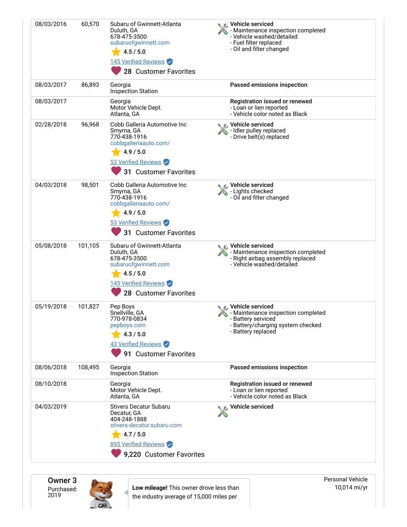| 08/03/2016 | 60,570  | Subaru of Gwinnett-Atlanta<br>Duluth, GA<br>678-475-3500<br>subaruofgwinnett.com<br>4.5 / 5.0<br>145 Verified Reviews<br>28 Customer Favorites                          | C Vehicle serviced<br>Maintenance inspection completed<br>- Vehicle washed/detailed<br>- Fuel filter replaced<br>- Oil and filter changed |
|------------|---------|-------------------------------------------------------------------------------------------------------------------------------------------------------------------------|-------------------------------------------------------------------------------------------------------------------------------------------|
| 08/03/2017 | 86,893  | Georgia<br><b>Inspection Station</b>                                                                                                                                    | Passed emissions inspection                                                                                                               |
| 08/03/2017 |         | Georgia<br>Motor Vehicle Dept.<br>Atlanta, GA                                                                                                                           | Registration issued or renewed<br>- Loan or lien reported<br>- Vehicle color noted as Black                                               |
| 02/28/2018 | 96,968  | Cobb Galleria Automotive Inc<br>Smyrna, GA<br>770-438-1916<br>cobbgalleriaauto.com/<br>4.9 / 5.0<br>53 Verified Reviews<br>31 Customer Favorites                        | ्⊾ Vehicle serviced<br>- Idler pulley replaced<br>- Drive belt(s) replaced                                                                |
| 04/03/2018 | 98,501  | Cobb Galleria Automotive Inc<br>Smyrna, GA<br>770-438-1916<br>cobbgalleriaauto.com/<br>4.9/5.0<br>53 Verified Reviews<br>31 Customer Favorites                          | Vehicle serviced<br>- Lights checked<br>- Oil and filter changed                                                                          |
| 05/08/2018 | 101,105 | Subaru of Gwinnett-Atlanta<br>Duluth, GA<br>678-475-3500<br>subaruofgwinnett.com<br>4.5 / 5.0<br>145 Verified Reviews<br>28 Customer Favorites                          | C Vehicle serviced<br>- Maintenance inspection completed<br>- Right airbag assembly replaced<br>- Vehicle washed/detailed                 |
| 05/19/2018 | 101,827 | Pep Boys<br>Snellville, GA<br>770-978-0834<br>pepboys.com<br>4.3 / 5.0<br>43 Verified Reviews<br>91 Customer Favorites                                                  | C Vehicle serviced<br>- Maintenance inspection completed<br>- Battery serviced<br>- Battery/charging system checked<br>- Battery replaced |
| 08/06/2018 | 108,495 | Georgia<br><b>Inspection Station</b>                                                                                                                                    | Passed emissions inspection                                                                                                               |
| 08/10/2018 |         | Georgia<br>Motor Vehicle Dept.<br>Atlanta, GA                                                                                                                           | Registration issued or renewed<br>- Loan or lien reported<br>- Vehicle color noted as Black                                               |
| 04/03/2019 |         | <b>Stivers Decatur Subaru</b><br>Decatur, GA<br>404-248-1888<br>stivers-decatur.subaru.com<br>$\frac{1}{2}$ 4.7/5.0<br>895 Verified Reviews<br>9,220 Customer Favorites | Vehicle serviced                                                                                                                          |

Owner 3 Purchased: 2019



**Low mileage!** This owner drove less than the industry average of 15,000 miles per

Personal Vehicle 10,014 mi/yr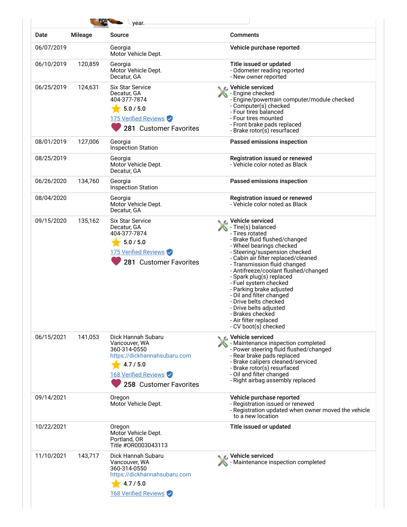| Date       | <b>Mileage</b> | Source                                                                                                                                             | <b>Comments</b>                                                                                                                                                                                                                                                                                                                                                                                                                                                                                                      |
|------------|----------------|----------------------------------------------------------------------------------------------------------------------------------------------------|----------------------------------------------------------------------------------------------------------------------------------------------------------------------------------------------------------------------------------------------------------------------------------------------------------------------------------------------------------------------------------------------------------------------------------------------------------------------------------------------------------------------|
| 06/07/2019 |                | Georgia<br>Motor Vehicle Dept.                                                                                                                     | Vehicle purchase reported                                                                                                                                                                                                                                                                                                                                                                                                                                                                                            |
| 06/10/2019 | 120,859        | Georgia<br>Motor Vehicle Dept.<br>Decatur, GA                                                                                                      | Title issued or updated<br>- Odometer reading reported<br>- New owner reported                                                                                                                                                                                                                                                                                                                                                                                                                                       |
| 06/25/2019 | 124,631        | <b>Six Star Service</b><br>Decatur, GA<br>404-377-7874<br>5.0 / 5.0<br>175 Verified Reviews<br>281 Customer Favorites                              | <b>C</b> Vehicle serviced<br>- Engine checked<br>- Engine/powertrain computer/module checked<br>- Computer(s) checked<br>- Four tires balanced<br>- Four tires mounted<br>- Front brake pads replaced<br>- Brake rotor(s) resurfaced                                                                                                                                                                                                                                                                                 |
| 08/01/2019 | 127,006        | Georgia<br><b>Inspection Station</b>                                                                                                               | Passed emissions inspection                                                                                                                                                                                                                                                                                                                                                                                                                                                                                          |
| 08/25/2019 |                | Georgia<br>Motor Vehicle Dept.<br>Decatur, GA                                                                                                      | Registration issued or renewed<br>- Vehicle color noted as Black                                                                                                                                                                                                                                                                                                                                                                                                                                                     |
| 06/26/2020 | 134,760        | Georgia<br><b>Inspection Station</b>                                                                                                               | Passed emissions inspection                                                                                                                                                                                                                                                                                                                                                                                                                                                                                          |
| 08/04/2020 |                | Georgia<br>Motor Vehicle Dept.<br>Decatur, GA                                                                                                      | Registration issued or renewed<br>- Vehicle color noted as Black                                                                                                                                                                                                                                                                                                                                                                                                                                                     |
| 09/15/2020 | 135,162        | <b>Six Star Service</b><br>Decatur, GA<br>404-377-7874<br>5.0 / 5.0<br>175 Verified Reviews<br>281 Customer Favorites                              | <b>■</b> Vehicle serviced<br>- Tire(s) balanced<br>- Tires rotated<br>- Brake fluid flushed/changed<br>- Wheel bearings checked<br>- Steering/suspension checked<br>- Cabin air filter replaced/cleaned<br>- Transmission fluid changed<br>- Antifreeze/coolant flushed/changed<br>- Spark plug(s) replaced<br>- Fuel system checked<br>- Parking brake adjusted<br>- Oil and filter changed<br>- Drive belts checked<br>- Drive belts adjusted<br>- Brakes checked<br>- Air filter replaced<br>- CV boot(s) checked |
| 06/15/2021 | 141,053        | Dick Hannah Subaru<br>Vancouver, WA<br>360-314-0550<br>https://dickhannahsubaru.com<br>4.7 / 5.0<br>168 Verified Reviews<br>258 Customer Favorites | Vehicle serviced<br>- Maintenance inspection completed<br>- Power steering fluid flushed/changed<br>- Rear brake pads replaced<br>- Brake calipers cleaned/serviced<br>- Brake rotor(s) resurfaced<br>- Oil and filter changed<br>- Right airbag assembly replaced                                                                                                                                                                                                                                                   |
| 09/14/2021 |                | Oregon<br>Motor Vehicle Dept.                                                                                                                      | Vehicle purchase reported<br>- Registration issued or renewed<br>- Registration updated when owner moved the vehicle<br>to a new location                                                                                                                                                                                                                                                                                                                                                                            |
| 10/22/2021 |                | Oregon<br>Motor Vehicle Dept.<br>Portland, OR<br>Title #OR0003043113                                                                               | Title issued or updated                                                                                                                                                                                                                                                                                                                                                                                                                                                                                              |
| 11/10/2021 | 143,717        | Dick Hannah Subaru<br>Vancouver, WA<br>360-314-0550<br>https://dickhannahsubaru.com<br>4.7 / 5.0<br>168 Verified Reviews                           | Vehicle serviced<br>Maintenance inspection completed                                                                                                                                                                                                                                                                                                                                                                                                                                                                 |